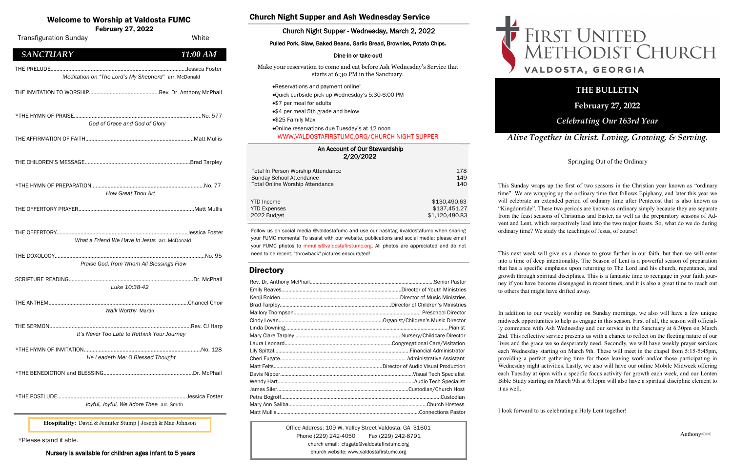#### An Account of Our Stewardship 2/20/2022

| Total In Person Worship Attendance     | 178            |
|----------------------------------------|----------------|
| Sunday School Attendance               | 149            |
| <b>Total Online Worship Attendance</b> | 140            |
| <b>YTD</b> Income                      | \$130,490.63   |
| <b>YTD Expenses</b>                    | \$137,451.27   |
| 2022 Budget                            | \$1,120,480.83 |

#### Welcome to Worship at Valdosta FUMC

February 27, 2022

Office Address: 109 W. Valley Street Valdosta, GA 31601 Phone (229) 242-4050 Fax (229) 242-8791 church email: cfugate@valdostafirstumc.org church website: www.valdostafirstumc.org





#### *Alive Together in Christ. Loving, Growing, & Serving.*

### **THE BULLETIN**

**February 27, 2022**

#### *Celebrating Our 163rd Year*

Follow us on social media @valdostafumc and use our hashtag #valdostafumc when sharing your FUMC moments! To assist with our website, publications and social media; please email your FUMC photos to mmullis@valdostafirstumc.org. All photos are appreciated and do not need to be recent, "throwback" pictures encouraged!

#### **Directory**

| <b>Transfiguration Sunday</b>                        | White         |
|------------------------------------------------------|---------------|
| <b>SANCTUARY</b>                                     | 11:00 AM      |
| Meditation on "The Lord's My Shepherd" arr. McDonald |               |
|                                                      |               |
| God of Grace and God of Glory                        |               |
|                                                      |               |
|                                                      |               |
| How Great Thou Art                                   |               |
|                                                      |               |
| What a Friend We Have in Jesus arr. McDonald         |               |
| Praise God, from Whom All Blessings Flow             |               |
| Luke 10:38-42                                        |               |
| THE ANTHEM.<br><b>Walk Worthy Martin</b>             | Chancel Choir |
| It's Never Too Late to Rethink Your Journey          |               |
| He Leadeth Me: O Blessed Thought                     |               |
|                                                      |               |
| Joyful, Joyful, We Adore Thee arr. Smith             |               |
|                                                      |               |

#### Church Night Supper and Ash Wednesday Service

#### Church Night Supper - Wednesday, March 2, 2022

#### Pulled Pork, Slaw, Baked Beans, Garlic Bread, Brownies, Potato Chips.

#### Dine-in or take-out!

Make your reservation to come and eat before Ash Wednesday's Service that starts at 6:30 PM in the Sanctuary.

- •Reservations and payment online!
- •Quick curbside pick up Wednesday's 5:30-6:00 PM
- •\$7 per meal for adults
- •\$4 per meal 5th grade and below
- •\$25 Family Max

•Online reservations due Tuesday's at 12 noon WWW.VALDOSTAFIRSTUMC.ORG/CHURCH-NIGHT-SUPPER

\*Please stand if able.

Nursery is available for children ages infant to 5 years

**Hospitality**: David & Jennifer Stump | Joseph & Mae Johnson

Springing Out of the Ordinary

This Sunday wraps up the first of two seasons in the Christian year known as "ordinary time". We are wrapping up the ordinary time that follows Epiphany, and later this year we will celebrate an extended period of ordinary time after Pentecost that is also known as "Kingdomtide". These two periods are known as ordinary simply because they are separate from the feast seasons of Christmas and Easter, as well as the preparatory seasons of Advent and Lent, which respectively lead into the two major feasts. So, what do we do during ordinary time? We study the teachings of Jesus, of course!

This next week will give us a chance to grow further in our faith, but then we will enter into a time of deep intentionality. The Season of Lent is a powerful season of preparation that has a specific emphasis upon returning to The Lord and his church, repentance, and growth through spiritual disciplines. This is a fantastic time to reengage in your faith journey if you have become disengaged in recent times, and it is also a great time to reach out to others that might have drifted away.

In addition to our weekly worship on Sunday mornings, we also will have a few unique midweek opportunities to help us engage in this season. First of all, the season will officially commence with Ash Wednesday and our service in the Sanctuary at 6:30pm on March 2nd. This reflective service presents us with a chance to reflect on the fleeting nature of our lives and the grace we so desperately need. Secondly, we will have weekly prayer services each Wednesday starting on March 9th. These will meet in the chapel from 5:15-5:45pm, providing a perfect gathering time for those leaving work and/or those participating in Wednesday night activities. Lastly, we also will have our online Mobile Midweek offering each Tuesday at 6pm with a specific focus activity for growth each week, and our Lenten Bible Study starting on March 9th at 6:15pm will also have a spiritual discipline element to it as well.

I look forward to us celebrating a Holy Lent together!

# FIRST UNITED<br>METHODIST CHURCH VALDOSTA, GEORGIA

Anthony<><